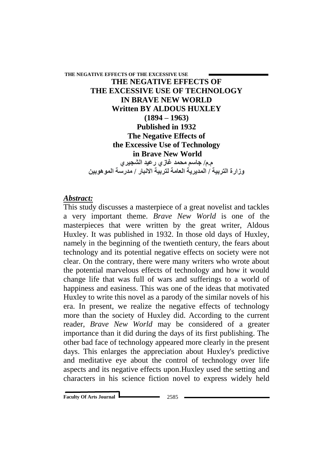# **THE NEGATIVE EFFECTS OF THE EXCESSIVE USE THE NEGATIVE EFFECTS OF THE EXCESSIVE USE OF TECHNOLOGY IN BRAVE NEW WORLD Written BY ALDOUS HUXLEY (1894 – 1963) Published in 1932 The Negative Effects of the Excessive Use of Technology in Brave New World م.م/ جاسم محمد غازي رعيد الشجيري وزارة التربيت / المديريت العامت لتربيت االنبار / مدرست الموهوبين**

## *Abstract:*

This study discusses a masterpiece of a great novelist and tackles a very important theme. *Brave New World* is one of the masterpieces that were written by the great writer, Aldous Huxley. It was published in 1932. In those old days of Huxley, namely in the beginning of the twentieth century, the fears about technology and its potential negative effects on society were not clear. On the contrary, there were many writers who wrote about the potential marvelous effects of technology and how it would change life that was full of wars and sufferings to a world of happiness and easiness. This was one of the ideas that motivated Huxley to write this novel as a parody of the similar novels of his era. In present, we realize the negative effects of technology more than the society of Huxley did. According to the current reader, *Brave New World* may be considered of a greater importance than it did during the days of its first publishing. The other bad face of technology appeared more clearly in the present days. This enlarges the appreciation about Huxley's predictive and meditative eye about the control of technology over life aspects and its negative effects upon.Huxley used the setting and characters in his science fiction novel to express widely held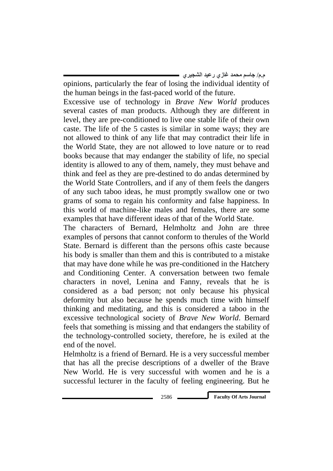opinions, particularly the fear of losing the individual identity of the human beings in the fast-paced world of the future.

Excessive use of technology in *Brave New World* produces several castes of man products. Although they are different in level, they are pre-conditioned to live one stable life of their own caste. The life of the 5 castes is similar in some ways; they are not allowed to think of any life that may contradict their life in the World State, they are not allowed to love nature or to read books because that may endanger the stability of life, no special identity is allowed to any of them, namely, they must behave and think and feel as they are pre-destined to do andas determined by the World State Controllers, and if any of them feels the dangers of any such taboo ideas, he must promptly swallow one or two grams of soma to regain his conformity and false happiness. In this world of machine-like males and females, there are some examples that have different ideas of that of the World State.

The characters of Bernard, Helmholtz and John are three examples of persons that cannot conform to therules of the World State. Bernard is different than the persons ofhis caste because his body is smaller than them and this is contributed to a mistake that may have done while he was pre-conditioned in the Hatchery and Conditioning Center. A conversation between two female characters in novel, Lenina and Fanny, reveals that he is considered as a bad person; not only because his physical deformity but also because he spends much time with himself thinking and meditating, and this is considered a taboo in the excessive technological society of *Brave New World*. Bernard feels that something is missing and that endangers the stability of the technology-controlled society, therefore, he is exiled at the end of the novel.

Helmholtz is a friend of Bernard. He is a very successful member that has all the precise descriptions of a dweller of the Brave New World. He is very successful with women and he is a successful lecturer in the faculty of feeling engineering. But he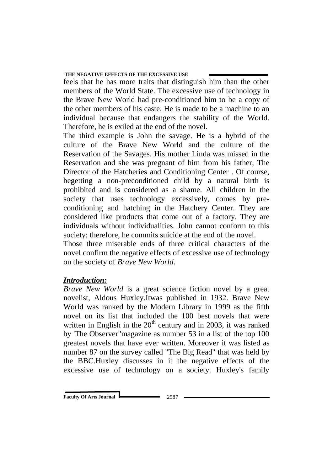feels that he has more traits that distinguish him than the other members of the World State. The excessive use of technology in the Brave New World had pre-conditioned him to be a copy of the other members of his caste. He is made to be a machine to an individual because that endangers the stability of the World. Therefore, he is exiled at the end of the novel.

The third example is John the savage. He is a hybrid of the culture of the Brave New World and the culture of the Reservation of the Savages. His mother Linda was missed in the Reservation and she was pregnant of him from his father, The Director of the Hatcheries and Conditioning Center . Of course, begetting a non-preconditioned child by a natural birth is prohibited and is considered as a shame. All children in the society that uses technology excessively, comes by preconditioning and hatching in the Hatchery Center. They are considered like products that come out of a factory. They are individuals without individualities. John cannot conform to this society; therefore, he commits suicide at the end of the novel.

Those three miserable ends of three critical characters of the novel confirm the negative effects of excessive use of technology on the society of *Brave New World*.

## *Introduction:*

*Brave New World* is a great science fiction novel by a great novelist, Aldous Huxley.Itwas published in 1932. Brave New World was ranked by the Modern Library in 1999 as the fifth novel on its list that included the 100 best novels that were written in English in the  $20<sup>th</sup>$  century and in 2003, it was ranked by 'The Observer"magazine as number 53 in a list of the top 100 greatest novels that have ever written. Moreover it was listed as number 87 on the survey called "The Big Read" that was held by the BBC.Huxley discusses in it the negative effects of the excessive use of technology on a society. Huxley's family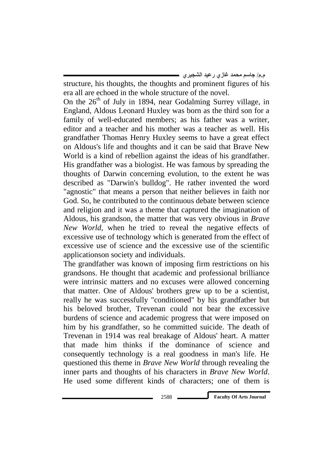structure, his thoughts, the thoughts and prominent figures of his era all are echoed in the whole structure of the novel.

On the  $26<sup>th</sup>$  of July in 1894, near Godalming Surrey village, in England, Aldous Leonard Huxley was born as the third son for a family of well-educated members; as his father was a writer, editor and a teacher and his mother was a teacher as well. His grandfather Thomas Henry Huxley seems to have a great effect on Aldous's life and thoughts and it can be said that Brave New World is a kind of rebellion against the ideas of his grandfather. His grandfather was a biologist. He was famous by spreading the thoughts of Darwin concerning evolution, to the extent he was described as "Darwin's bulldog". He rather invented the word "agnostic" that means a person that neither believes in faith nor God. So, he contributed to the continuous debate between science and religion and it was a theme that captured the imagination of Aldous, his grandson, the matter that was very obvious in *Brave New World*, when he tried to reveal the negative effects of excessive use of technology which is generated from the effect of excessive use of science and the excessive use of the scientific applicationson society and individuals.

The grandfather was known of imposing firm restrictions on his grandsons. He thought that academic and professional brilliance were intrinsic matters and no excuses were allowed concerning that matter. One of Aldous' brothers grew up to be a scientist, really he was successfully "conditioned" by his grandfather but his beloved brother, Trevenan could not bear the excessive burdens of science and academic progress that were imposed on him by his grandfather, so he committed suicide. The death of Trevenan in 1914 was real breakage of Aldous' heart. A matter that made him thinks if the dominance of science and consequently technology is a real goodness in man's life. He questioned this theme in *Brave New World* through revealing the inner parts and thoughts of his characters in *Brave New World*. He used some different kinds of characters; one of them is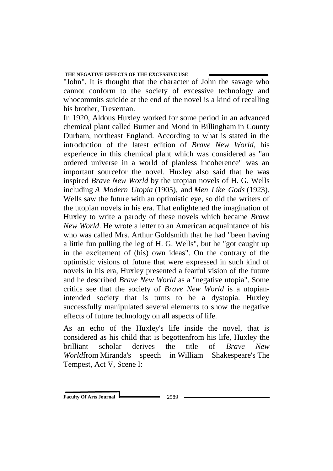"John". It is thought that the character of John the savage who cannot conform to the society of excessive technology and whocommits suicide at the end of the novel is a kind of recalling his brother, Trevernan.

In 1920, Aldous Huxley worked for some period in an advanced chemical plant called Burner and Mond in [Billingham](https://en.wikipedia.org/wiki/Billingham) in County Durham, northeast England. According to what is stated in the introduction of the latest edition of *Brave New World*, his experience in this chemical plant which was considered as "an ordered universe in a world of planless incoherence" was an important sourcefor the novel. Huxley also said that he was inspired *Brave New World* by the utopian novels of H. G. Wells including *[A Modern Utopia](https://en.wikipedia.org/wiki/A_Modern_Utopia)* (1905), and *[Men Like Gods](https://en.wikipedia.org/wiki/Men_Like_Gods)* (1923). Wells saw the future with an optimistic eye, so did the writers of the utopian novels in his era. That enlightened the imagination of Huxley to write a parody of these novels which became *Brave New World*. He wrote a letter to an American acquaintance of his who was called Mrs. Arthur Goldsmith that he had "been having a little fun pulling the leg of H. G. Wells", but he "got caught up in the excitement of (his) own ideas". On the contrary of the optimistic visions of future that were expressed in such kind of novels in his era, Huxley presented a fearful vision of the future and he described *Brave New World* as a "negative utopia". Some critics see that the society of *Brave New World* is a utopianintended society that is turns to be a dystopia. Huxley successfully manipulated several elements to show the negative effects of future technology on all aspects of life.

As an echo of the Huxley's life inside the novel, that is considered as his child that is begottenfrom his life, Huxley the brilliant scholar derives the title of *Brave New World*from [Miranda'](https://en.wikipedia.org/wiki/Miranda_(The_Tempest))s speech in [William Shakespeare's](https://en.wikipedia.org/wiki/William_Shakespeare%27s) [The](https://en.wikipedia.org/wiki/The_Tempest)  [Tempest,](https://en.wikipedia.org/wiki/The_Tempest) Act V, Scene I: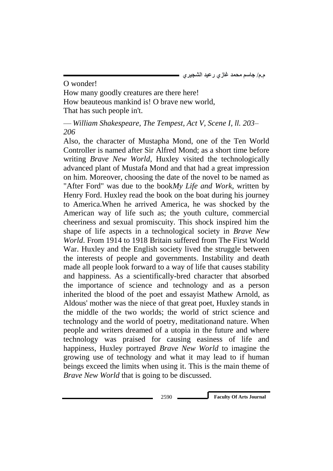O wonder! How many goodly creatures are there here! How beauteous mankind is! O brave new world, That has such people in't.

— *William Shakespeare, The Tempest, Act V, Scene I, ll. 203– 206*

Also, the character of Mustapha Mond, one of the Ten World Controller is named after Sir Alfred Mond; as a short time before writing *Brave New World*, Huxley visited the technologically advanced plant of Mustafa Mond and that had a great impression on him. Moreover, choosing the date of the novel to be named as "After Ford" was due to the book*My Life and Work*, written by Henry Ford. Huxley read the book on the boat during his journey to America.When he arrived America, he was shocked by the American way of life such as; the youth culture, commercial cheeriness and sexual promiscuity. This shock inspired him the shape of life aspects in a technological society in *Brave New World*. From 1914 to 1918 Britain suffered from The First World War. Huxley and the English society lived the struggle between the interests of people and governments. Instability and death made all people look forward to a way of life that causes stability and happiness. As a scientifically-bred character that absorbed the importance of science and technology and as a person inherited the blood of the poet and essayist Mathew Arnold, as Aldous' mother was the niece of that great poet, Huxley stands in the middle of the two worlds; the world of strict science and technology and the world of poetry, meditationand nature. When people and writers dreamed of a utopia in the future and where technology was praised for causing easiness of life and happiness, Huxley portrayed *Brave New World* to imagine the growing use of technology and what it may lead to if human beings exceed the limits when using it. This is the main theme of *Brave New World* that is going to be discussed.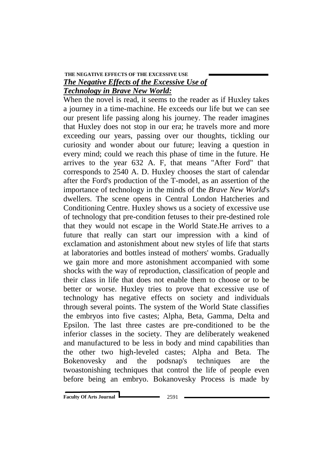## **THE NEGATIVE EFFECTS OF THE EXCESSIVE USE**  *The Negative Effects of the Excessive Use of Technology in Brave New World:*

When the novel is read, it seems to the reader as if Huxley takes a journey in a time-machine. He exceeds our life but we can see our present life passing along his journey. The reader imagines that Huxley does not stop in our era; he travels more and more exceeding our years, passing over our thoughts, tickling our curiosity and wonder about our future; leaving a question in every mind; could we reach this phase of time in the future. He arrives to the year 632 A. F, that means "After Ford" that corresponds to 2540 A. D. Huxley chooses the start of calendar after the Ford's production of the T-model, as an assertion of the importance of technology in the minds of the *Brave New World*'s dwellers. The scene opens in Central London Hatcheries and Conditioning Centre. Huxley shows us a society of excessive use of technology that pre-condition fetuses to their pre-destined role that they would not escape in the World State.He arrives to a future that really can start our impression with a kind of exclamation and astonishment about new styles of life that starts at laboratories and bottles instead of mothers' wombs. Gradually we gain more and more astonishment accompanied with some shocks with the way of reproduction, classification of people and their class in life that does not enable them to choose or to be better or worse. Huxley tries to prove that excessive use of technology has negative effects on society and individuals through several points. The system of the World State classifies the embryos into five castes; Alpha, Beta, Gamma, Delta and Epsilon. The last three castes are pre-conditioned to be the inferior classes in the society. They are deliberately weakened and manufactured to be less in body and mind capabilities than the other two high-leveled castes; Alpha and Beta. The Bokenovesky and the podsnap's techniques are the twoastonishing techniques that control the life of people even before being an embryo. Bokanovesky Process is made by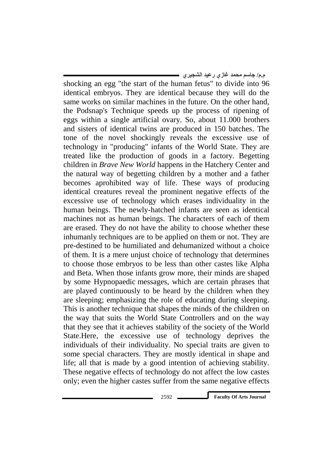shocking an egg "the start of the human fetus" to divide into 96 identical embryos. They are identical because they will do the same works on similar machines in the future. On the other hand, the Podsnap's Technique speeds up the process of ripening of eggs within a single artificial ovary. So, about 11.000 brothers and sisters of identical twins are produced in 150 batches. The tone of the novel shockingly reveals the excessive use of technology in "producing" infants of the World State. They are treated like the production of goods in a factory. Begetting children in *Brave New World* happens in the Hatchery Center and the natural way of begetting children by a mother and a father becomes aprohibited way of life. These ways of producing identical creatures reveal the prominent negative effects of the excessive use of technology which erases individuality in the human beings. The newly-hatched infants are seen as identical machines not as human beings. The characters of each of them are erased. They do not have the ability to choose whether these inhumanly techniques are to be applied on them or not. They are pre-destined to be humiliated and dehumanized without a choice of them. It is a mere unjust choice of technology that determines to choose those embryos to be less than other castes like Alpha and Beta. When those infants grow more, their minds are shaped by some Hypnopaedic messages, which are certain phrases that are played continuously to be heard by the children when they are sleeping; emphasizing the role of educating during sleeping. This is another technique that shapes the minds of the children on the way that suits the World State Controllers and on the way that they see that it achieves stability of the society of the World State.Here, the excessive use of technology deprives the individuals of their individuality. No special traits are given to some special characters. They are mostly identical in shape and life; all that is made by a good intention of achieving stability. These negative effects of technology do not affect the low castes only; even the higher castes suffer from the same negative effects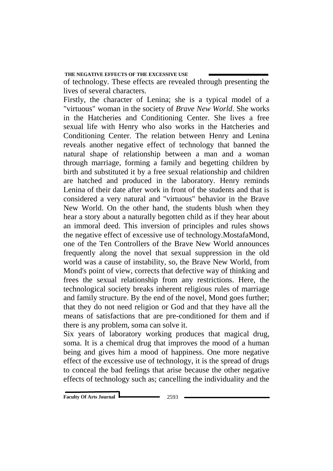of technology. These effects are revealed through presenting the lives of several characters.

Firstly, the character of Lenina; she is a typical model of a "virtuous" woman in the society of *Brave New World*. She works in the Hatcheries and Conditioning Center. She lives a free sexual life with Henry who also works in the Hatcheries and Conditioning Center. The relation between Henry and Lenina reveals another negative effect of technology that banned the natural shape of relationship between a man and a woman through marriage, forming a family and begetting children by birth and substituted it by a free sexual relationship and children are hatched and produced in the laboratory. Henry reminds Lenina of their date after work in front of the students and that is considered a very natural and "virtuous" behavior in the Brave New World. On the other hand, the students blush when they hear a story about a naturally begotten child as if they hear about an immoral deed. This inversion of principles and rules shows the negative effect of excessive use of technology.MostafaMond, one of the Ten Controllers of the Brave New World announces frequently along the novel that sexual suppression in the old world was a cause of instability, so, the Brave New World, from Mond's point of view, corrects that defective way of thinking and frees the sexual relationship from any restrictions. Here, the technological society breaks inherent religious rules of marriage and family structure. By the end of the novel, Mond goes further; that they do not need religion or God and that they have all the means of satisfactions that are pre-conditioned for them and if there is any problem, soma can solve it.

Six years of laboratory working produces that magical drug, soma. It is a chemical drug that improves the mood of a human being and gives him a mood of happiness. One more negative effect of the excessive use of technology, it is the spread of drugs to conceal the bad feelings that arise because the other negative effects of technology such as; cancelling the individuality and the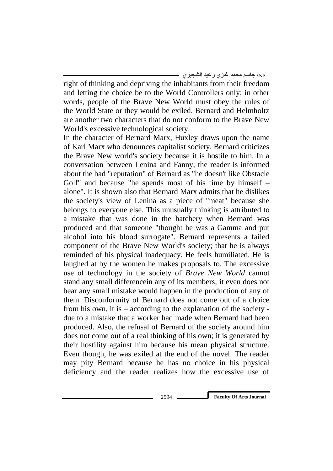right of thinking and depriving the inhabitants from their freedom and letting the choice be to the World Controllers only; in other words, people of the Brave New World must obey the rules of the World State or they would be exiled. Bernard and Helmholtz are another two characters that do not conform to the Brave New World's excessive technological society.

In the character of Bernard Marx, Huxley draws upon the name of Karl Marx who denounces capitalist society. Bernard criticizes the Brave New world's society because it is hostile to him. In a conversation between Lenina and Fanny, the reader is informed about the bad "reputation" of Bernard as "he doesn't like Obstacle Golf" and because "he spends most of his time by himself – alone". It is shown also that Bernard Marx admits that he dislikes the society's view of Lenina as a piece of "meat" because she belongs to everyone else. This unusually thinking is attributed to a mistake that was done in the hatchery when Bernard was produced and that someone "thought he was a Gamma and put alcohol into his blood surrogate". Bernard represents a failed component of the Brave New World's society; that he is always reminded of his physical inadequacy. He feels humiliated. He is laughed at by the women he makes proposals to. The excessive use of technology in the society of *Brave New World* cannot stand any small differencein any of its members; it even does not bear any small mistake would happen in the production of any of them. Disconformity of Bernard does not come out of a choice from his own, it is – according to the explanation of the society due to a mistake that a worker had made when Bernard had been produced. Also, the refusal of Bernard of the society around him does not come out of a real thinking of his own; it is generated by their hostility against him because his mean physical structure. Even though, he was exiled at the end of the novel. The reader may pity Bernard because he has no choice in his physical deficiency and the reader realizes how the excessive use of

2594 **Faculty Of Arts Journal**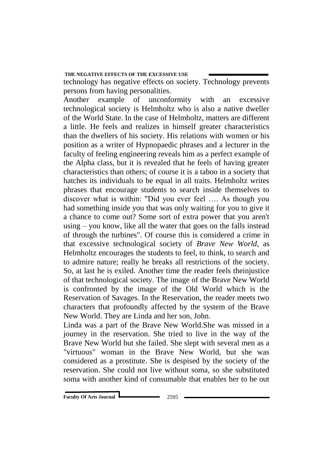technology has negative effects on society. Technology prevents persons from having personalities.

Another example of unconformity with an excessive technological society is Helmholtz who is also a native dweller of the World State. In the case of Helmholtz, matters are different a little. He feels and realizes in himself greater characteristics than the dwellers of his society. His relations with women or his position as a writer of Hypnopaedic phrases and a lecturer in the faculty of feeling engineering reveals him as a perfect example of the Alpha class, but it is revealed that he feels of having greater characteristics than others; of course it is a taboo in a society that hatches its individuals to be equal in all traits. Helmholtz writes phrases that encourage students to search inside themselves to discover what is within: "Did you ever feel …. As though you had something inside you that was only waiting for you to give it a chance to come out? Some sort of extra power that you aren't using – you know, like all the water that goes on the falls instead of through the turbines". Of course this is considered a crime in that excessive technological society of *Brave New World*, as Helmholtz encourages the students to feel, to think, to search and to admire nature; really he breaks all restrictions of the society. So, at last he is exiled. Another time the reader feels theinjustice of that technological society. The image of the Brave New World is confronted by the image of the Old World which is the Reservation of Savages. In the Reservation, the reader meets two characters that profoundly affected by the system of the Brave New World. They are Linda and her son, John.

Linda was a part of the Brave New World.She was missed in a journey in the reservation. She tried to live in the way of the Brave New World but she failed. She slept with several men as a "virtuous" woman in the Brave New World, but she was considered as a prostitute. She is despised by the society of the reservation. She could not live without soma, so she substituted soma with another kind of consumable that enables her to be out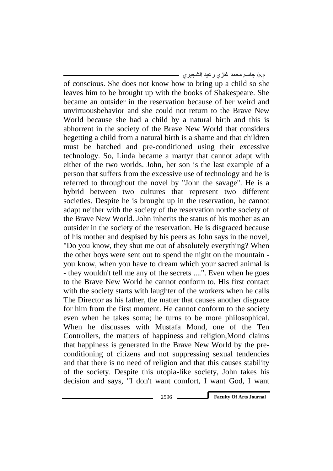of conscious. She does not know how to bring up a child so she leaves him to be brought up with the books of Shakespeare. She became an outsider in the reservation because of her weird and unvirtuousbehavior and she could not return to the Brave New World because she had a child by a natural birth and this is abhorrent in the society of the Brave New World that considers begetting a child from a natural birth is a shame and that children must be hatched and pre-conditioned using their excessive technology. So, Linda became a martyr that cannot adapt with either of the two worlds. John, her son is the last example of a person that suffers from the excessive use of technology and he is referred to throughout the novel by "John the savage". He is a hybrid between two cultures that represent two different societies. Despite he is brought up in the reservation, he cannot adapt neither with the society of the reservation northe society of the Brave New World. John inherits the status of his mother as an outsider in the society of the reservation. He is disgraced because of his mother and despised by his peers as John says in the novel, "Do you know, they shut me out of absolutely everything? When the other boys were sent out to spend the night on the mountain you know, when you have to dream which your sacred animal is - they wouldn't tell me any of the secrets ....". Even when he goes to the Brave New World he cannot conform to. His first contact with the society starts with laughter of the workers when he calls The Director as his father, the matter that causes another disgrace for him from the first moment. He cannot conform to the society even when he takes soma; he turns to be more philosophical. When he discusses with Mustafa Mond, one of the Ten Controllers, the matters of happiness and religion,Mond claims that happiness is generated in the Brave New World by the preconditioning of citizens and not suppressing sexual tendencies and that there is no need of religion and that this causes stability of the society. Despite this utopia-like society, John takes his

**م.م/ جاسم محمد غازي رعيد الشجيري**

2596 **Faculty Of Arts Journal**

decision and says, "I don't want comfort, I want God, I want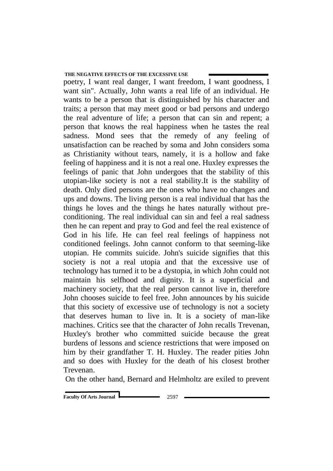poetry, I want real danger, I want freedom, I want goodness, I want sin". Actually, John wants a real life of an individual. He wants to be a person that is distinguished by his character and traits; a person that may meet good or bad persons and undergo the real adventure of life; a person that can sin and repent; a person that knows the real happiness when he tastes the real sadness. Mond sees that the remedy of any feeling of unsatisfaction can be reached by soma and John considers soma as Christianity without tears, namely, it is a hollow and fake feeling of happiness and it is not a real one. Huxley expresses the feelings of panic that John undergoes that the stability of this utopian-like society is not a real stability.It is the stability of death. Only died persons are the ones who have no changes and ups and downs. The living person is a real individual that has the things he loves and the things he hates naturally without preconditioning. The real individual can sin and feel a real sadness then he can repent and pray to God and feel the real existence of God in his life. He can feel real feelings of happiness not conditioned feelings. John cannot conform to that seeming-like utopian. He commits suicide. John's suicide signifies that this society is not a real utopia and that the excessive use of technology has turned it to be a dystopia, in which John could not maintain his selfhood and dignity. It is a superficial and machinery society, that the real person cannot live in, therefore John chooses suicide to feel free. John announces by his suicide that this society of excessive use of technology is not a society that deserves human to live in. It is a society of man-like machines. Critics see that the character of John recalls Trevenan, Huxley's brother who committed suicide because the great burdens of lessons and science restrictions that were imposed on him by their grandfather T. H. Huxley. The reader pities John and so does with Huxley for the death of his closest brother Trevenan.

On the other hand, Bernard and Helmholtz are exiled to prevent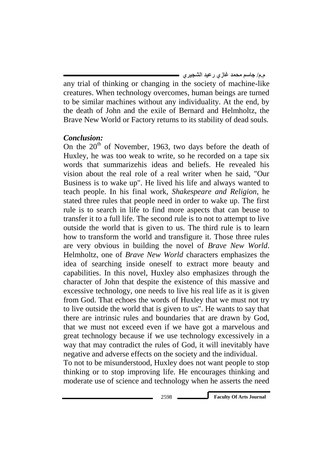any trial of thinking or changing in the society of machine-like creatures. When technology overcomes, human beings are turned to be similar machines without any individuality. At the end, by the death of John and the exile of Bernard and Helmholtz, the Brave New World or Factory returns to its stability of dead souls.

## *Conclusion:*

On the  $20<sup>th</sup>$  of November, 1963, two days before the death of Huxley, he was too weak to write, so he recorded on a tape six words that summarizehis ideas and beliefs. He revealed his vision about the real role of a real writer when he said, "Our Business is to wake up". He lived his life and always wanted to teach people. In his final work, *Shakespeare and Religion*, he stated three rules that people need in order to wake up. The first rule is to search in life to find more aspects that can beuse to transfer it to a full life. The second rule is to not to attempt to live outside the world that is given to us. The third rule is to learn how to transform the world and transfigure it. Those three rules are very obvious in building the novel of *Brave New World*. Helmholtz, one of *Brave New World* characters emphasizes the idea of searching inside oneself to extract more beauty and capabilities. In this novel, Huxley also emphasizes through the character of John that despite the existence of this massive and excessive technology, one needs to live his real life as it is given from God. That echoes the words of Huxley that we must not try to live outside the world that is given to us". He wants to say that there are intrinsic rules and boundaries that are drawn by God, that we must not exceed even if we have got a marvelous and great technology because if we use technology excessively in a way that may contradict the rules of God, it will inevitably have negative and adverse effects on the society and the individual.

To not to be misunderstood, Huxley does not want people to stop thinking or to stop improving life. He encourages thinking and moderate use of science and technology when he asserts the need